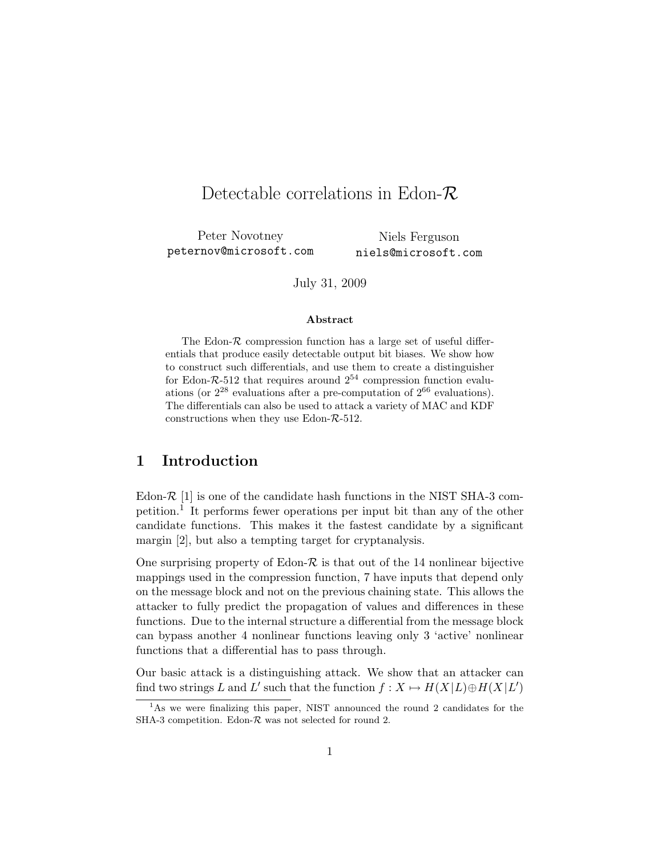# Detectable correlations in Edon-*R*

Peter Novotney peternov@microsoft.com Niels Ferguson niels@microsoft.com

July 31, 2009

#### **Abstract**

The Edon- $\mathcal R$  compression function has a large set of useful differentials that produce easily detectable output bit biases. We show how to construct such differentials, and use them to create a distinguisher for Edon- $R$ -512 that requires around  $2^{54}$  compression function evaluations (or  $2^{28}$  evaluations after a pre-computation of  $2^{66}$  evaluations). The differentials can also be used to attack a variety of MAC and KDF constructions when they use Edon-*R*-512.

## **1 Introduction**

Edon- $\mathcal{R}$  [1] is one of the candidate hash functions in the NIST SHA-3 competition.<sup>1</sup> It performs fewer operations per input bit than any of the other candidate functions. This makes it the fastest candidate by a significant margin [2], but also a tempting target for cryptanalysis.

One surprising property of Edon-*R* is that out of the 14 nonlinear bijective mappings used in the compression function, 7 have inputs that depend only on the message block and not on the previous chaining state. This allows the attacker to fully predict the propagation of values and differences in these functions. Due to the internal structure a differential from the message block can bypass another 4 nonlinear functions leaving only 3 'active' nonlinear functions that a differential has to pass through.

Our basic attack is a distinguishing attack. We show that an attacker can find two strings *L* and *L'* such that the function  $f: X \mapsto H(X|L) \oplus H(X|L')$ 

<sup>&</sup>lt;sup>1</sup>As we were finalizing this paper, NIST announced the round 2 candidates for the SHA-3 competition. Edon-*R* was not selected for round 2.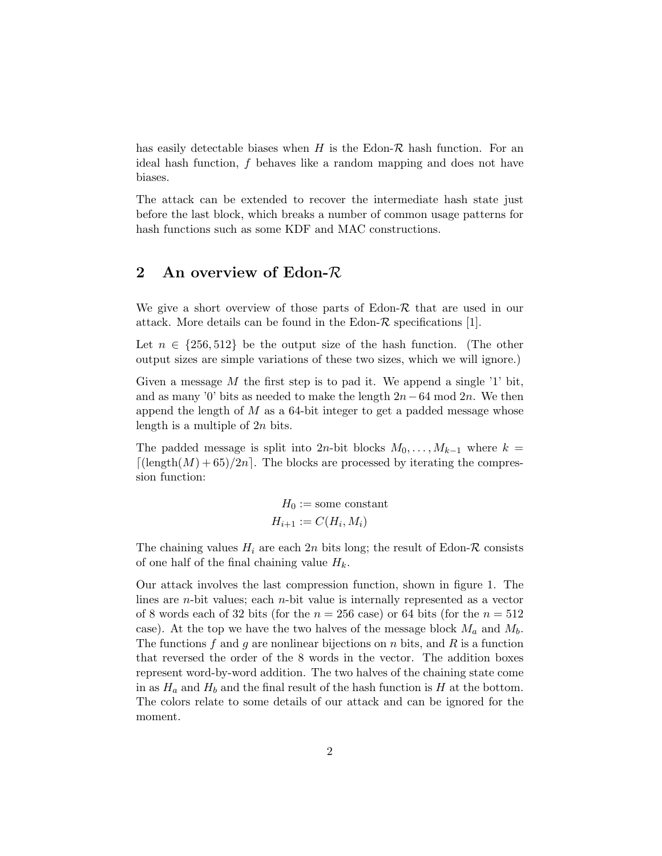has easily detectable biases when  $H$  is the Edon- $\mathcal R$  hash function. For an ideal hash function, *f* behaves like a random mapping and does not have biases.

The attack can be extended to recover the intermediate hash state just before the last block, which breaks a number of common usage patterns for hash functions such as some KDF and MAC constructions.

## **2 An overview of Edon-***R*

We give a short overview of those parts of Edon-*R* that are used in our attack. More details can be found in the Edon- $\mathcal R$  specifications [1].

Let  $n \in \{256, 512\}$  be the output size of the hash function. (The other output sizes are simple variations of these two sizes, which we will ignore.)

Given a message M the first step is to pad it. We append a single '1' bit, and as many '0' bits as needed to make the length 2*n−*64 mod 2*n*. We then append the length of *M* as a 64-bit integer to get a padded message whose length is a multiple of 2*n* bits.

The padded message is split into 2*n*-bit blocks  $M_0, \ldots, M_{k-1}$  where  $k =$  $\lceil$ (length $(M) + 65$ )/2*n*<sup> $\lceil$ </sup>. The blocks are processed by iterating the compression function:

$$
H_0 := \text{some constant}
$$

$$
H_{i+1} := C(H_i, M_i)
$$

The chaining values  $H_i$  are each  $2n$  bits long; the result of Edon- $\mathcal R$  consists of one half of the final chaining value *Hk*.

Our attack involves the last compression function, shown in figure 1. The lines are *n*-bit values; each *n*-bit value is internally represented as a vector of 8 words each of 32 bits (for the  $n = 256$  case) or 64 bits (for the  $n = 512$ case). At the top we have the two halves of the message block  $M_a$  and  $M_b$ . The functions *f* and *g* are nonlinear bijections on *n* bits, and *R* is a function that reversed the order of the 8 words in the vector. The addition boxes represent word-by-word addition. The two halves of the chaining state come in as  $H_a$  and  $H_b$  and the final result of the hash function is  $H$  at the bottom. The colors relate to some details of our attack and can be ignored for the moment.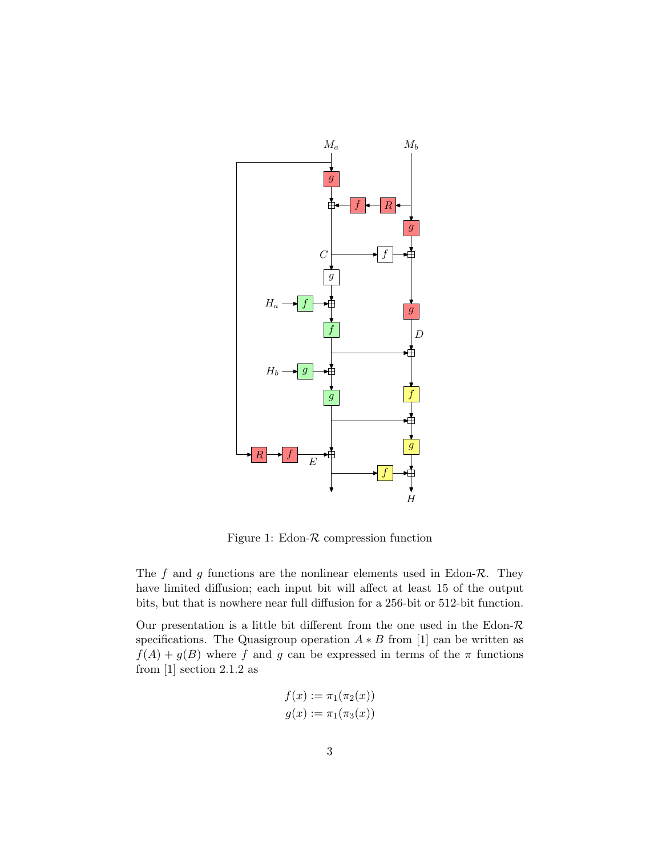

Figure 1: Edon-*R* compression function

The *f* and *g* functions are the nonlinear elements used in Edon-*R*. They have limited diffusion; each input bit will affect at least 15 of the output bits, but that is nowhere near full diffusion for a 256-bit or 512-bit function.

Our presentation is a little bit different from the one used in the Edon-*R* specifications. The Quasigroup operation  $A * B$  from [1] can be written as  $f(A) + g(B)$  where *f* and *g* can be expressed in terms of the *π* functions from  $[1]$  section 2.1.2 as

$$
f(x) := \pi_1(\pi_2(x))
$$
  

$$
g(x) := \pi_1(\pi_3(x))
$$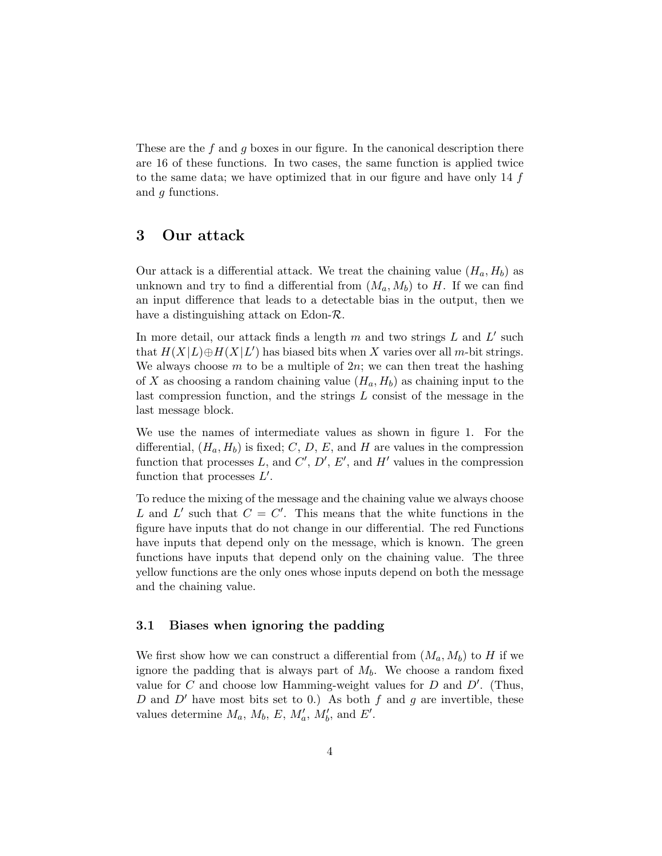These are the *f* and *g* boxes in our figure. In the canonical description there are 16 of these functions. In two cases, the same function is applied twice to the same data; we have optimized that in our figure and have only 14 *f* and *g* functions.

## **3 Our attack**

Our attack is a differential attack. We treat the chaining value  $(H_a, H_b)$  as unknown and try to find a differential from  $(M_a, M_b)$  to *H*. If we can find an input difference that leads to a detectable bias in the output, then we have a distinguishing attack on Edon-*R*.

In more detail, our attack finds a length *m* and two strings *L* and *L ′* such that  $H(X|L) \oplus H(X|L')$  has biased bits when X varies over all *m*-bit strings. We always choose *m* to be a multiple of 2*n*; we can then treat the hashing of *X* as choosing a random chaining value  $(H_a, H_b)$  as chaining input to the last compression function, and the strings *L* consist of the message in the last message block.

We use the names of intermediate values as shown in figure 1. For the differential,  $(H_a, H_b)$  is fixed; *C*, *D*, *E*, and *H* are values in the compression function that processes  $L$ , and  $C'$ ,  $D'$ ,  $E'$ , and  $H'$  values in the compression function that processes *L ′* .

To reduce the mixing of the message and the chaining value we always choose L and L' such that  $C = C'$ . This means that the white functions in the figure have inputs that do not change in our differential. The red Functions have inputs that depend only on the message, which is known. The green functions have inputs that depend only on the chaining value. The three yellow functions are the only ones whose inputs depend on both the message and the chaining value.

#### **3.1 Biases when ignoring the padding**

We first show how we can construct a differential from  $(M_a, M_b)$  to *H* if we ignore the padding that is always part of *Mb*. We choose a random fixed value for *C* and choose low Hamming-weight values for *D* and *D′* . (Thus, *D* and *D′* have most bits set to 0.) As both *f* and *g* are invertible, these values determine  $M_a$ ,  $M_b$ ,  $E$ ,  $M'_a$ ,  $M'_b$ , and  $E'$ .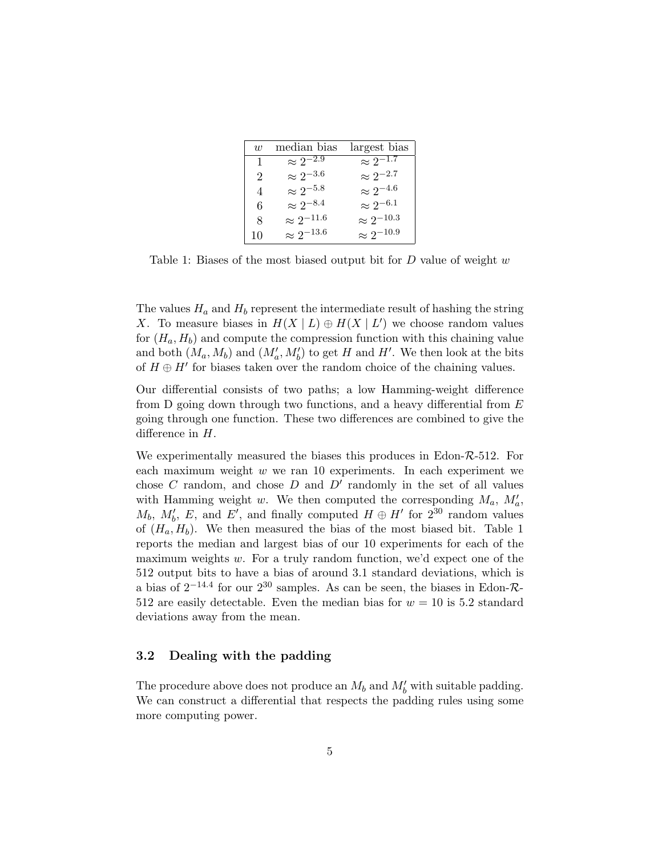| $\overline{w}$ | median bias         | largest bias        |
|----------------|---------------------|---------------------|
| 1              | $\approx 2^{-2.9}$  | $\approx 2^{-1.7}$  |
| $\overline{2}$ | $\approx 2^{-3.6}$  | $\approx 2^{-2.7}$  |
| $\overline{4}$ | $\approx 2^{-5.8}$  | $\approx 2^{-4.6}$  |
| 6              | $\approx 2^{-8.4}$  | $\approx 2^{-6.1}$  |
| 8              | $\approx 2^{-11.6}$ | $\approx 2^{-10.3}$ |
| 10             | $\approx 2^{-13.6}$ | $\approx 2^{-10.9}$ |

Table 1: Biases of the most biased output bit for *D* value of weight *w*

The values  $H_a$  and  $H_b$  represent the intermediate result of hashing the string *X*. To measure biases in  $H(X | L) \oplus H(X | L')$  we choose random values for  $(H_a, H_b)$  and compute the compression function with this chaining value and both  $(M_a, M_b)$  and  $(M'_a, M'_b)$  to get *H* and *H'*. We then look at the bits of  $H \oplus H'$  for biases taken over the random choice of the chaining values.

Our differential consists of two paths; a low Hamming-weight difference from D going down through two functions, and a heavy differential from *E* going through one function. These two differences are combined to give the difference in *H*.

We experimentally measured the biases this produces in Edon-*R*-512. For each maximum weight *w* we ran 10 experiments. In each experiment we chose *C* random, and chose *D* and *D′* randomly in the set of all values with Hamming weight *w*. We then computed the corresponding  $M_a$ ,  $M'_a$ ,  $M_b$ ,  $M'_b$ ,  $E$ , and  $E'$ , and finally computed  $H \oplus H'$  for  $2^{30}$  random values of  $(H_a, H_b)$ . We then measured the bias of the most biased bit. Table 1 reports the median and largest bias of our 10 experiments for each of the maximum weights *w*. For a truly random function, we'd expect one of the 512 output bits to have a bias of around 3.1 standard deviations, which is a bias of 2*−*14*.*<sup>4</sup> for our 2<sup>30</sup> samples. As can be seen, the biases in Edon-*R*-512 are easily detectable. Even the median bias for  $w = 10$  is 5.2 standard deviations away from the mean.

#### **3.2 Dealing with the padding**

The procedure above does not produce an  $M_b$  and  $M'_b$  with suitable padding. We can construct a differential that respects the padding rules using some more computing power.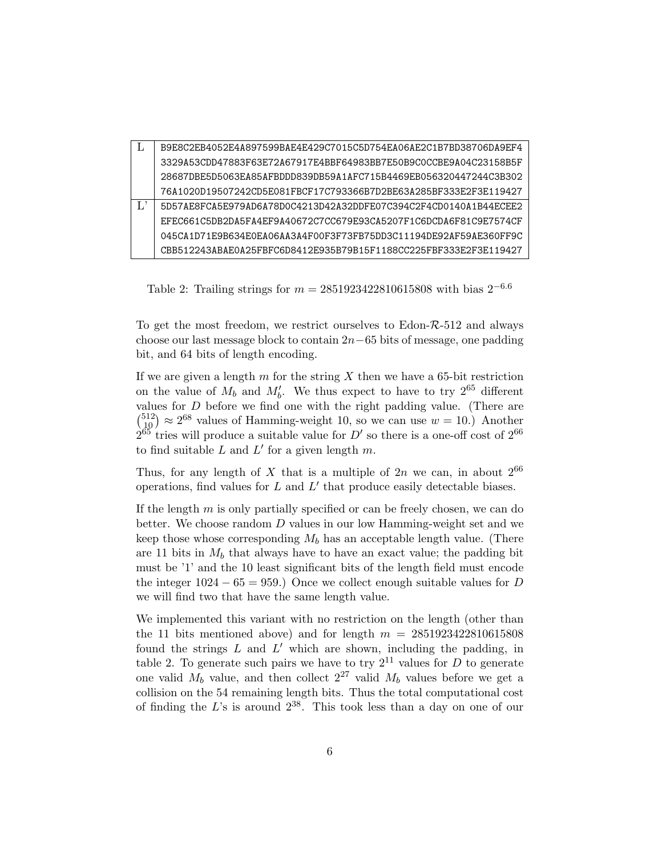| B9E8C2EB4052E4A897599BAE4E429C7015C5D754EA06AE2C1B7BD38706DA9EF4 |
|------------------------------------------------------------------|
| 3329A53CDD47883F63E72A67917E4BBF64983BB7E50B9C0CCBE9A04C23158B5F |
| 28687DBE5D5063EA85AFBDDD839DB59A1AFC715B4469EB056320447244C3B302 |
| 76A1020D19507242CD5E081FBCF17C793366B7D2BE63A285BF333E2F3E119427 |
| 5D57AE8FCA5E979AD6A78D0C4213D42A32DDFE07C394C2F4CD0140A1B44ECEE2 |
| EFEC661C5DB2DA5FA4EF9A40672C7CC679E93CA5207F1C6DCDA6F81C9E7574CF |
| 045CA1D71E9B634E0EA06AA3A4F00F3F73FB75DD3C11194DE92AF59AE360FF9C |
| CBB512243ABAE0A25FBFC6D8412E935B79B15F1188CC225FBF333E2F3E119427 |

Table 2: Trailing strings for *m* = 2851923422810615808 with bias 2*−*6*.*<sup>6</sup>

To get the most freedom, we restrict ourselves to Edon-*R*-512 and always choose our last message block to contain 2*n−*65 bits of message, one padding bit, and 64 bits of length encoding.

If we are given a length *m* for the string *X* then we have a 65-bit restriction on the value of  $M_b$  and  $M'_b$ . We thus expect to have to try  $2^{65}$  different values for *D* before we find one with the right padding value. (There are  $\binom{512}{10} \approx 2^{68}$  values of Hamming-weight 10, so we can use  $w = 10$ .) Another  $2^{65}$  tries will produce a suitable value for  $D'$  so there is a one-off cost of  $2^{66}$ to find suitable *L* and *L ′* for a given length *m*.

Thus, for any length of X that is a multiple of  $2n$  we can, in about  $2^{66}$ operations, find values for *L* and *L ′* that produce easily detectable biases.

If the length *m* is only partially specified or can be freely chosen, we can do better. We choose random *D* values in our low Hamming-weight set and we keep those whose corresponding  $M_b$  has an acceptable length value. (There are 11 bits in  $M_b$  that always have to have an exact value; the padding bit must be '1' and the 10 least significant bits of the length field must encode the integer 1024 *−* 65 = 959.) Once we collect enough suitable values for *D* we will find two that have the same length value.

We implemented this variant with no restriction on the length (other than the 11 bits mentioned above) and for length *m* = 2851923422810615808 found the strings *L* and *L ′* which are shown, including the padding, in table 2. To generate such pairs we have to try  $2^{11}$  values for *D* to generate one valid  $M_b$  value, and then collect  $2^{27}$  valid  $M_b$  values before we get a collision on the 54 remaining length bits. Thus the total computational cost of finding the *L*'s is around 238. This took less than a day on one of our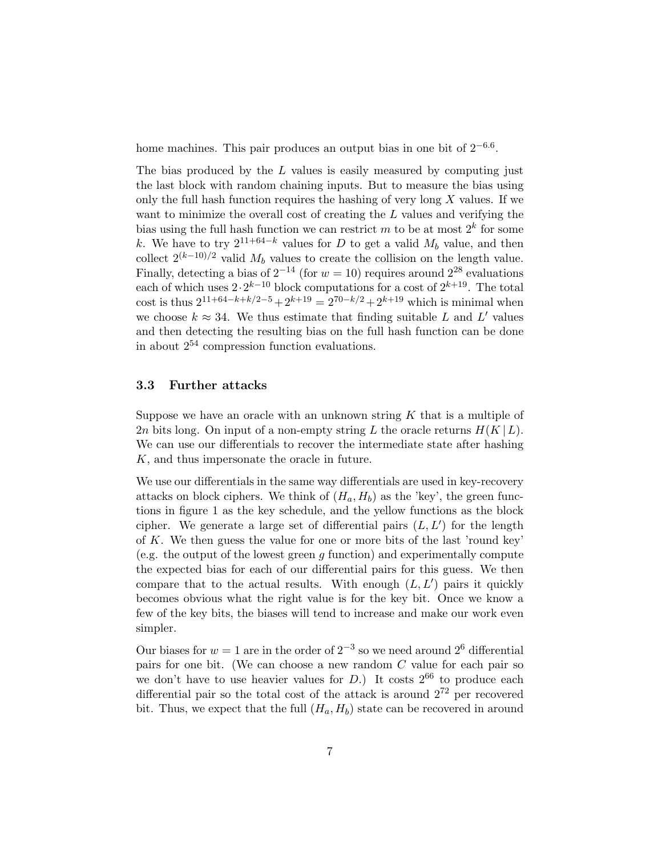home machines. This pair produces an output bias in one bit of 2*−*6*.*<sup>6</sup> .

The bias produced by the *L* values is easily measured by computing just the last block with random chaining inputs. But to measure the bias using only the full hash function requires the hashing of very long *X* values. If we want to minimize the overall cost of creating the *L* values and verifying the bias using the full hash function we can restrict  $m$  to be at most  $2^k$  for some *k*. We have to try  $2^{11+64-k}$  values for *D* to get a valid  $M_b$  value, and then collect  $2^{(k-10)/2}$  valid  $M_b$  values to create the collision on the length value. Finally, detecting a bias of  $2^{-14}$  (for  $w = 10$ ) requires around  $2^{28}$  evaluations each of which uses 2*·*2 *<sup>k</sup>−*<sup>10</sup> block computations for a cost of 2*k*+19. The total cost is thus  $2^{11+64-k+k/2-5} + 2^{k+19} = 2^{70-k/2} + 2^{k+19}$  which is minimal when we choose  $k \approx 34$ . We thus estimate that finding suitable *L* and *L'* values and then detecting the resulting bias on the full hash function can be done in about  $2^{54}$  compression function evaluations.

#### **3.3 Further attacks**

Suppose we have an oracle with an unknown string *K* that is a multiple of 2*n* bits long. On input of a non-empty string *L* the oracle returns  $H(K | L)$ . We can use our differentials to recover the intermediate state after hashing *K*, and thus impersonate the oracle in future.

We use our differentials in the same way differentials are used in key-recovery attacks on block ciphers. We think of  $(H_a, H_b)$  as the 'key', the green functions in figure 1 as the key schedule, and the yellow functions as the block cipher. We generate a large set of differential pairs (*L, L′* ) for the length of *K*. We then guess the value for one or more bits of the last 'round key' (e.g. the output of the lowest green *g* function) and experimentally compute the expected bias for each of our differential pairs for this guess. We then compare that to the actual results. With enough  $(L, L')$  pairs it quickly becomes obvious what the right value is for the key bit. Once we know a few of the key bits, the biases will tend to increase and make our work even simpler.

Our biases for  $w = 1$  are in the order of  $2^{-3}$  so we need around  $2^6$  differential pairs for one bit. (We can choose a new random *C* value for each pair so we don't have to use heavier values for  $D$ .) It costs  $2^{66}$  to produce each differential pair so the total cost of the attack is around  $2^{72}$  per recovered bit. Thus, we expect that the full  $(H_a, H_b)$  state can be recovered in around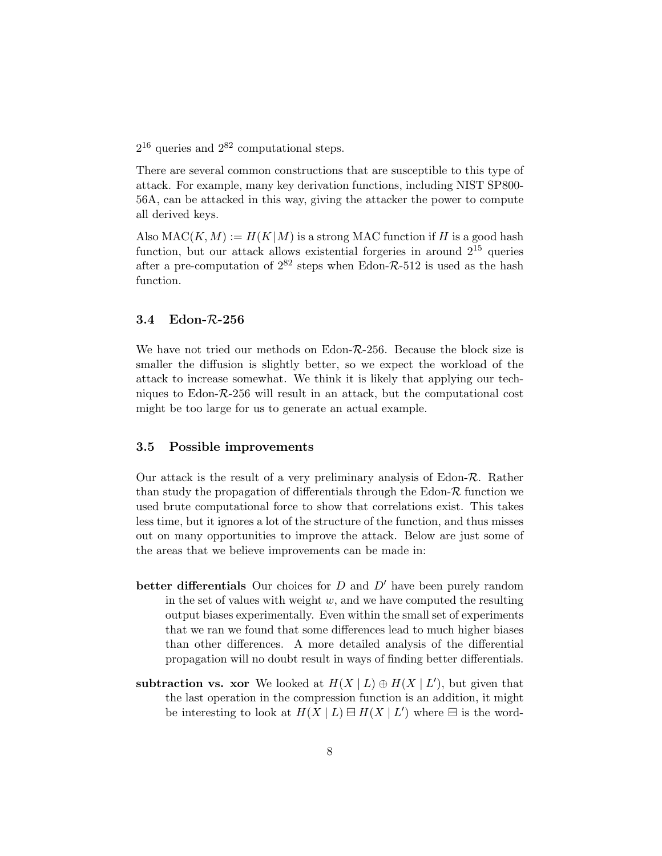$2^{16}$  queries and  $2^{82}$  computational steps.

There are several common constructions that are susceptible to this type of attack. For example, many key derivation functions, including NIST SP800- 56A, can be attacked in this way, giving the attacker the power to compute all derived keys.

Also  $MAC(K, M) := H(K|M)$  is a strong MAC function if *H* is a good hash function, but our attack allows existential forgeries in around  $2^{15}$  queries after a pre-computation of  $2^{82}$  steps when Edon- $\mathcal{R}\text{-}512$  is used as the hash function.

#### **3.4 Edon-***R***-256**

We have not tried our methods on Edon-*R*-256. Because the block size is smaller the diffusion is slightly better, so we expect the workload of the attack to increase somewhat. We think it is likely that applying our techniques to Edon-*R*-256 will result in an attack, but the computational cost might be too large for us to generate an actual example.

#### **3.5 Possible improvements**

Our attack is the result of a very preliminary analysis of Edon-*R*. Rather than study the propagation of differentials through the Edon- $R$  function we used brute computational force to show that correlations exist. This takes less time, but it ignores a lot of the structure of the function, and thus misses out on many opportunities to improve the attack. Below are just some of the areas that we believe improvements can be made in:

- **better differentials** Our choices for *D* and *D′* have been purely random in the set of values with weight *w*, and we have computed the resulting output biases experimentally. Even within the small set of experiments that we ran we found that some differences lead to much higher biases than other differences. A more detailed analysis of the differential propagation will no doubt result in ways of finding better differentials.
- **subtraction vs. xor** We looked at  $H(X | L) \oplus H(X | L')$ , but given that the last operation in the compression function is an addition, it might be interesting to look at  $H(X | L) \boxminus H(X | L')$  where  $\boxminus$  is the word-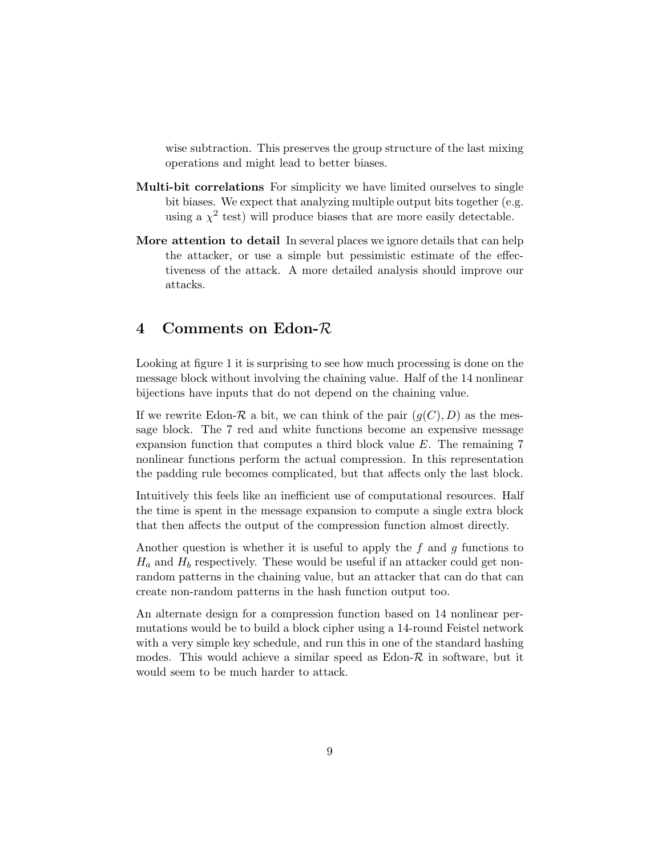wise subtraction. This preserves the group structure of the last mixing operations and might lead to better biases.

- **Multi-bit correlations** For simplicity we have limited ourselves to single bit biases. We expect that analyzing multiple output bits together (e.g. using a  $\chi^2$  test) will produce biases that are more easily detectable.
- **More attention to detail** In several places we ignore details that can help the attacker, or use a simple but pessimistic estimate of the effectiveness of the attack. A more detailed analysis should improve our attacks.

## **4 Comments on Edon-***R*

Looking at figure 1 it is surprising to see how much processing is done on the message block without involving the chaining value. Half of the 14 nonlinear bijections have inputs that do not depend on the chaining value.

If we rewrite Edon- $\mathcal R$  a bit, we can think of the pair  $(g(C), D)$  as the message block. The 7 red and white functions become an expensive message expansion function that computes a third block value *E*. The remaining 7 nonlinear functions perform the actual compression. In this representation the padding rule becomes complicated, but that affects only the last block.

Intuitively this feels like an inefficient use of computational resources. Half the time is spent in the message expansion to compute a single extra block that then affects the output of the compression function almost directly.

Another question is whether it is useful to apply the *f* and *g* functions to  $H_a$  and  $H_b$  respectively. These would be useful if an attacker could get nonrandom patterns in the chaining value, but an attacker that can do that can create non-random patterns in the hash function output too.

An alternate design for a compression function based on 14 nonlinear permutations would be to build a block cipher using a 14-round Feistel network with a very simple key schedule, and run this in one of the standard hashing modes. This would achieve a similar speed as Edon-*R* in software, but it would seem to be much harder to attack.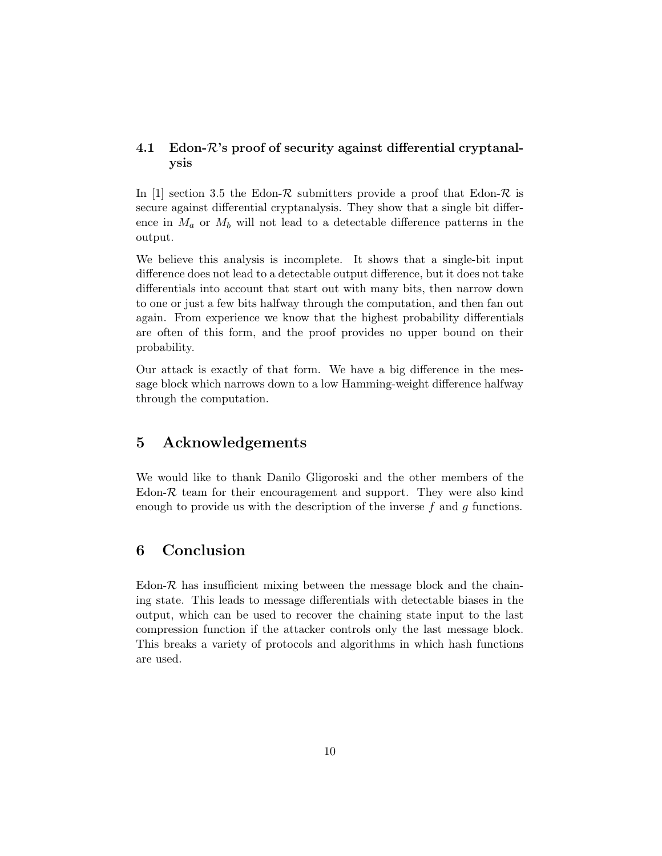### **4.1 Edon-***R***'s proof of security against differential cryptanalysis**

In [1] section 3.5 the Edon- $\mathcal R$  submitters provide a proof that Edon- $\mathcal R$  is secure against differential cryptanalysis. They show that a single bit difference in  $M_a$  or  $M_b$  will not lead to a detectable difference patterns in the output.

We believe this analysis is incomplete. It shows that a single-bit input difference does not lead to a detectable output difference, but it does not take differentials into account that start out with many bits, then narrow down to one or just a few bits halfway through the computation, and then fan out again. From experience we know that the highest probability differentials are often of this form, and the proof provides no upper bound on their probability.

Our attack is exactly of that form. We have a big difference in the message block which narrows down to a low Hamming-weight difference halfway through the computation.

## **5 Acknowledgements**

We would like to thank Danilo Gligoroski and the other members of the Edon- $R$  team for their encouragement and support. They were also kind enough to provide us with the description of the inverse *f* and *g* functions.

## **6 Conclusion**

Edon- $R$  has insufficient mixing between the message block and the chaining state. This leads to message differentials with detectable biases in the output, which can be used to recover the chaining state input to the last compression function if the attacker controls only the last message block. This breaks a variety of protocols and algorithms in which hash functions are used.